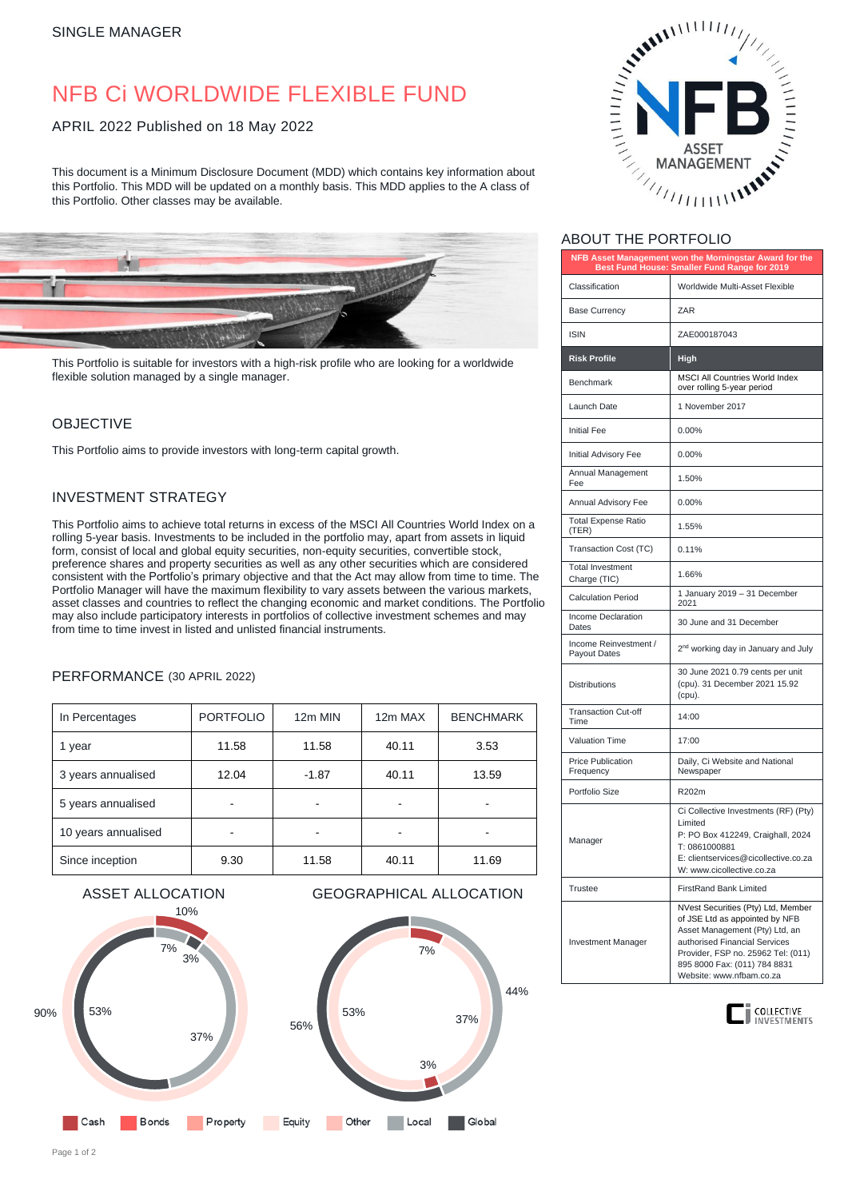# NFB Ci WORLDWIDE FLEXIBLE FUND

#### APRIL 2022 Published on 18 May 2022

This document is a Minimum Disclosure Document (MDD) which contains key information about this Portfolio. This MDD will be updated on a monthly basis. This MDD applies to the A class of this Portfolio. Other classes may be available.



This Portfolio is suitable for investors with a high-risk profile who are looking for a worldwide flexible solution managed by a single manager.

#### **OBJECTIVE**

This Portfolio aims to provide investors with long-term capital growth.

#### INVESTMENT STRATEGY

This Portfolio aims to achieve total returns in excess of the MSCI All Countries World Index on a rolling 5-year basis. Investments to be included in the portfolio may, apart from assets in liquid form, consist of local and global equity securities, non-equity securities, convertible stock, preference shares and property securities as well as any other securities which are considered consistent with the Portfolio's primary objective and that the Act may allow from time to time. The Portfolio Manager will have the maximum flexibility to vary assets between the various markets, asset classes and countries to reflect the changing economic and market conditions. The Portfolio may also include participatory interests in portfolios of collective investment schemes and may from time to time invest in listed and unlisted financial instruments.

#### PERFORMANCE (30 APRIL 2022)

| In Percentages      | <b>PORTFOLIO</b> | 12m MIN | 12m MAX | <b>BENCHMARK</b> |
|---------------------|------------------|---------|---------|------------------|
| 1 year              | 11.58            | 11.58   | 40.11   | 3.53             |
| 3 years annualised  | 12.04            | $-1.87$ | 40.11   | 13.59            |
| 5 years annualised  |                  |         |         |                  |
| 10 years annualised |                  |         |         |                  |
| Since inception     | 9.30             | 11.58   | 40.11   | 11.69            |





## ABOUT THE PORTFOLIO

| NFB Asset Management won the Morningstar Award for the<br>Best Fund House: Smaller Fund Range for 2019 |                                                                                                                                                                                                                                           |  |  |
|--------------------------------------------------------------------------------------------------------|-------------------------------------------------------------------------------------------------------------------------------------------------------------------------------------------------------------------------------------------|--|--|
| Classification                                                                                         | Worldwide Multi-Asset Flexible                                                                                                                                                                                                            |  |  |
| <b>Base Currency</b>                                                                                   | ZAR                                                                                                                                                                                                                                       |  |  |
| <b>ISIN</b>                                                                                            | ZAE000187043                                                                                                                                                                                                                              |  |  |
| <b>Risk Profile</b>                                                                                    | High                                                                                                                                                                                                                                      |  |  |
| Benchmark                                                                                              | <b>MSCI All Countries World Index</b><br>over rolling 5-year period                                                                                                                                                                       |  |  |
| Launch Date                                                                                            | 1 November 2017                                                                                                                                                                                                                           |  |  |
| <b>Initial Fee</b>                                                                                     | 0.00%                                                                                                                                                                                                                                     |  |  |
| Initial Advisory Fee                                                                                   | 0.00%                                                                                                                                                                                                                                     |  |  |
| Annual Management<br>Fee                                                                               | 1.50%                                                                                                                                                                                                                                     |  |  |
| Annual Advisory Fee                                                                                    | 0.00%                                                                                                                                                                                                                                     |  |  |
| <b>Total Expense Ratio</b><br>(TER)                                                                    | 1.55%                                                                                                                                                                                                                                     |  |  |
| Transaction Cost (TC)                                                                                  | 0.11%                                                                                                                                                                                                                                     |  |  |
| <b>Total Investment</b><br>Charge (TIC)                                                                | 1.66%                                                                                                                                                                                                                                     |  |  |
| <b>Calculation Period</b>                                                                              | 1 January 2019 - 31 December<br>2021                                                                                                                                                                                                      |  |  |
| Income Declaration<br>Dates                                                                            | 30 June and 31 December                                                                                                                                                                                                                   |  |  |
| Income Reinvestment /<br>Payout Dates                                                                  | 2 <sup>nd</sup> working day in January and July                                                                                                                                                                                           |  |  |
| <b>Distributions</b>                                                                                   | 30 June 2021 0.79 cents per unit<br>(cpu). 31 December 2021 15.92<br>(cpu).                                                                                                                                                               |  |  |
| <b>Transaction Cut-off</b><br>Time                                                                     | 14:00                                                                                                                                                                                                                                     |  |  |
| <b>Valuation Time</b>                                                                                  | 17:00                                                                                                                                                                                                                                     |  |  |
| <b>Price Publication</b><br>Frequency                                                                  | Daily, Ci Website and National<br>Newspaper                                                                                                                                                                                               |  |  |
| Portfolio Size                                                                                         | R202m                                                                                                                                                                                                                                     |  |  |
| Manager                                                                                                | Ci Collective Investments (RF) (Pty)<br>Limited<br>P: PO Box 412249, Craighall, 2024<br>T: 0861000881<br>E: clientservices@cicollective.co.za<br>W: www.cicollective.co.za                                                                |  |  |
| Trustee                                                                                                | <b>FirstRand Bank Limited</b>                                                                                                                                                                                                             |  |  |
| Investment Manager                                                                                     | NVest Securities (Pty) Ltd, Member<br>of JSE Ltd as appointed by NFB<br>Asset Management (Pty) Ltd, an<br>authorised Financial Services<br>Provider, FSP no. 25962 Tel: (011)<br>895 8000 Fax: (011) 784 8831<br>Website: www.nfbam.co.za |  |  |